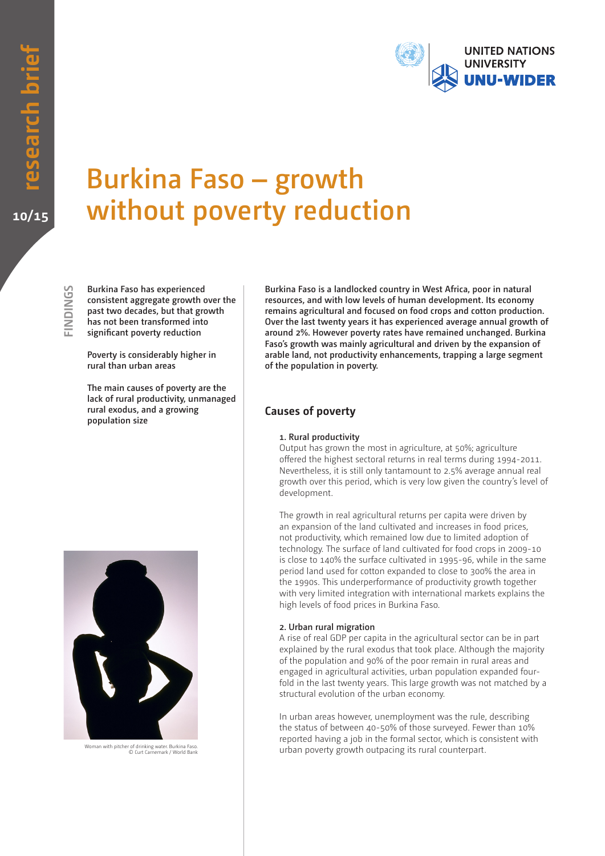

# **Burkina Faso – growth without poverty reduction**

**SDNDINGS FINDINGS** **Burkina Faso has experienced consistent aggregate growth over the past two decades, but that growth has not been transformed into significant poverty reduction**

**Poverty is considerably higher in rural than urban areas**

**The main causes of poverty are the lack of rural productivity, unmanaged rural exodus, and a growing population size**

**Burkina Faso is a landlocked country in West Africa, poor in natural resources, and with low levels of human development. Its economy remains agricultural and focused on food crops and cotton production. Over the last twenty years it has experienced average annual growth of around 2%. However poverty rates have remained unchanged. Burkina Faso's growth was mainly agricultural and driven by the expansion of arable land, not productivity enhancements, trapping a large segment of the population in poverty.**

## **Causes of poverty**

#### **1. Rural productivity**

Output has grown the most in agriculture, at 50%; agriculture offered the highest sectoral returns in real terms during 1994-2011. Nevertheless, it is still only tantamount to 2.5% average annual real growth over this period, which is very low given the country's level of development.

The growth in real agricultural returns per capita were driven by an expansion of the land cultivated and increases in food prices, not productivity, which remained low due to limited adoption of technology. The surface of land cultivated for food crops in 2009-10 is close to 140% the surface cultivated in 1995-96, while in the same period land used for cotton expanded to close to 300% the area in the 1990s. This underperformance of productivity growth together with very limited integration with international markets explains the high levels of food prices in Burkina Faso.

#### **2. Urban rural migration**

A rise of real GDP per capita in the agricultural sector can be in part explained by the rural exodus that took place. Although the majority of the population and 90% of the poor remain in rural areas and engaged in agricultural activities, urban population expanded fourfold in the last twenty years. This large growth was not matched by a structural evolution of the urban economy.

In urban areas however, unemployment was the rule, describing the status of between 40-50% of those surveyed. Fewer than 10% reported having a job in the formal sector, which is consistent with urban poverty growth outpacing its rural counterpart.



Woman with pitcher of drinking water. Burkina Faso. © Curt Carnemark / World Bank